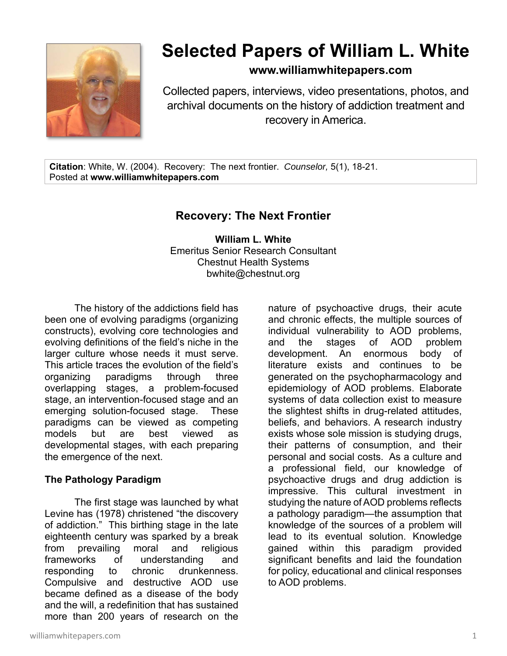

# **Selected Papers of William L. White**

**www.williamwhitepapers.com**

Collected papers, interviews, video presentations, photos, and archival documents on the history of addiction treatment and recovery in America.

**Citation**: White, W. (2004). Recovery: The next frontier. *Counselor,* 5(1), 18-21. Posted at **www.williamwhitepapers.com** 

# **Recovery: The Next Frontier**

**William L. White**  Emeritus Senior Research Consultant Chestnut Health Systems bwhite@chestnut.org

The history of the addictions field has been one of evolving paradigms (organizing constructs), evolving core technologies and evolving definitions of the field's niche in the larger culture whose needs it must serve. This article traces the evolution of the field's organizing paradigms through three overlapping stages, a problem-focused stage, an intervention-focused stage and an emerging solution-focused stage. These paradigms can be viewed as competing models but are best viewed as developmental stages, with each preparing the emergence of the next.

## **The Pathology Paradigm**

The first stage was launched by what Levine has (1978) christened "the discovery of addiction." This birthing stage in the late eighteenth century was sparked by a break from prevailing moral and religious frameworks of understanding and responding to chronic drunkenness. Compulsive and destructive AOD use became defined as a disease of the body and the will, a redefinition that has sustained more than 200 years of research on the

nature of psychoactive drugs, their acute and chronic effects, the multiple sources of individual vulnerability to AOD problems, and the stages of AOD problem development. An enormous body of literature exists and continues to be generated on the psychopharmacology and epidemiology of AOD problems. Elaborate systems of data collection exist to measure the slightest shifts in drug-related attitudes, beliefs, and behaviors. A research industry exists whose sole mission is studying drugs, their patterns of consumption, and their personal and social costs. As a culture and a professional field, our knowledge of psychoactive drugs and drug addiction is impressive. This cultural investment in studying the nature of AOD problems reflects a pathology paradigm—the assumption that knowledge of the sources of a problem will lead to its eventual solution. Knowledge gained within this paradigm provided significant benefits and laid the foundation for policy, educational and clinical responses to AOD problems.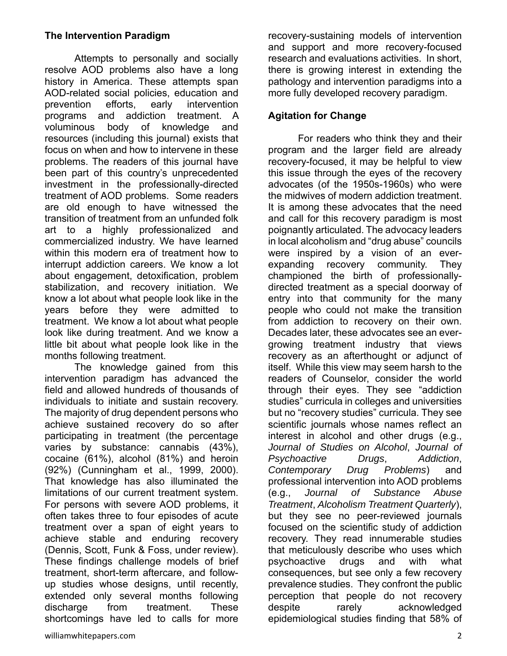## **The Intervention Paradigm**

Attempts to personally and socially resolve AOD problems also have a long history in America. These attempts span AOD-related social policies, education and prevention efforts, early intervention programs and addiction treatment. A voluminous body of knowledge and resources (including this journal) exists that focus on when and how to intervene in these problems. The readers of this journal have been part of this country's unprecedented investment in the professionally-directed treatment of AOD problems. Some readers are old enough to have witnessed the transition of treatment from an unfunded folk art to a highly professionalized and commercialized industry. We have learned within this modern era of treatment how to interrupt addiction careers. We know a lot about engagement, detoxification, problem stabilization, and recovery initiation. We know a lot about what people look like in the years before they were admitted to treatment. We know a lot about what people look like during treatment. And we know a little bit about what people look like in the months following treatment.

The knowledge gained from this intervention paradigm has advanced the field and allowed hundreds of thousands of individuals to initiate and sustain recovery. The majority of drug dependent persons who achieve sustained recovery do so after participating in treatment (the percentage varies by substance: cannabis (43%), cocaine (61%), alcohol (81%) and heroin (92%) (Cunningham et al., 1999, 2000). That knowledge has also illuminated the limitations of our current treatment system. For persons with severe AOD problems, it often takes three to four episodes of acute treatment over a span of eight years to achieve stable and enduring recovery (Dennis, Scott, Funk & Foss, under review). These findings challenge models of brief treatment, short-term aftercare, and followup studies whose designs, until recently, extended only several months following discharge from treatment. These shortcomings have led to calls for more

recovery-sustaining models of intervention and support and more recovery-focused research and evaluations activities. In short, there is growing interest in extending the pathology and intervention paradigms into a more fully developed recovery paradigm.

#### **Agitation for Change**

For readers who think they and their program and the larger field are already recovery-focused, it may be helpful to view this issue through the eyes of the recovery advocates (of the 1950s-1960s) who were the midwives of modern addiction treatment. It is among these advocates that the need and call for this recovery paradigm is most poignantly articulated. The advocacy leaders in local alcoholism and "drug abuse" councils were inspired by a vision of an everexpanding recovery community. They championed the birth of professionallydirected treatment as a special doorway of entry into that community for the many people who could not make the transition from addiction to recovery on their own. Decades later, these advocates see an evergrowing treatment industry that views recovery as an afterthought or adjunct of itself. While this view may seem harsh to the readers of Counselor, consider the world through their eyes. They see "addiction studies" curricula in colleges and universities but no "recovery studies" curricula. They see scientific journals whose names reflect an interest in alcohol and other drugs (e.g., *Journal of Studies on Alcohol*, *Journal of Psychoactive Drugs*, *Addiction*, *Contemporary Drug Problems*) and professional intervention into AOD problems (e.g., *Journal of Substance Abuse Treatment*, *Alcoholism Treatment Quarterly*), but they see no peer-reviewed journals focused on the scientific study of addiction recovery. They read innumerable studies that meticulously describe who uses which psychoactive drugs and with what consequences, but see only a few recovery prevalence studies. They confront the public perception that people do not recovery despite rarely acknowledged epidemiological studies finding that 58% of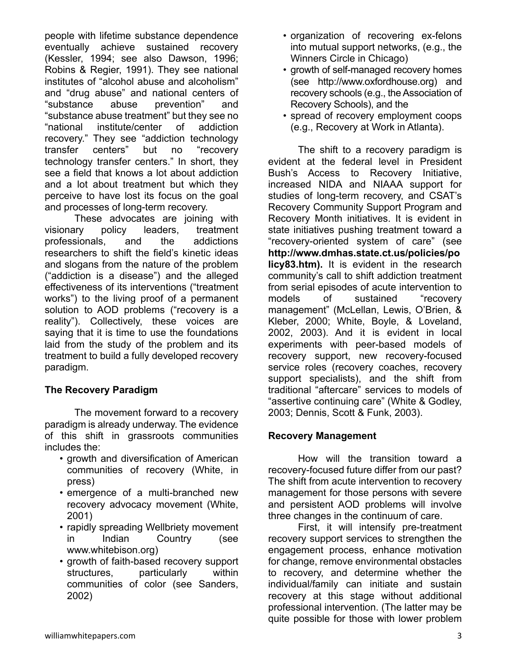people with lifetime substance dependence eventually achieve sustained recovery (Kessler, 1994; see also Dawson, 1996; Robins & Regier, 1991). They see national institutes of "alcohol abuse and alcoholism" and "drug abuse" and national centers of "substance abuse prevention" and "substance abuse treatment" but they see no "national institute/center of addiction recovery." They see "addiction technology transfer centers" but no "recovery technology transfer centers." In short, they see a field that knows a lot about addiction and a lot about treatment but which they perceive to have lost its focus on the goal and processes of long-term recovery.

These advocates are joining with visionary policy leaders, treatment professionals, and the addictions researchers to shift the field's kinetic ideas and slogans from the nature of the problem ("addiction is a disease") and the alleged effectiveness of its interventions ("treatment works") to the living proof of a permanent solution to AOD problems ("recovery is a reality"). Collectively, these voices are saying that it is time to use the foundations laid from the study of the problem and its treatment to build a fully developed recovery paradigm.

## **The Recovery Paradigm**

 The movement forward to a recovery paradigm is already underway. The evidence of this shift in grassroots communities includes the:

- growth and diversification of American communities of recovery (White, in press)
- emergence of a multi-branched new recovery advocacy movement (White, 2001)
- rapidly spreading Wellbriety movement in Indian Country (see www.whitebison.org)
- growth of faith-based recovery support structures, particularly within communities of color (see Sanders, 2002)
- organization of recovering ex-felons into mutual support networks, (e.g., the Winners Circle in Chicago)
- growth of self-managed recovery homes (see http://www.oxfordhouse.org) and recovery schools (e.g., the Association of Recovery Schools), and the
- spread of recovery employment coops (e.g., Recovery at Work in Atlanta).

The shift to a recovery paradigm is evident at the federal level in President Bush's Access to Recovery Initiative, increased NIDA and NIAAA support for studies of long-term recovery, and CSAT's Recovery Community Support Program and Recovery Month initiatives. It is evident in state initiatives pushing treatment toward a "recovery-oriented system of care" (see **http://www.dmhas.state.ct.us/policies/po licy83.htm).** It is evident in the research community's call to shift addiction treatment from serial episodes of acute intervention to models of sustained "recovery management" (McLellan, Lewis, O'Brien, & Kleber, 2000; White, Boyle, & Loveland, 2002, 2003). And it is evident in local experiments with peer-based models of recovery support, new recovery-focused service roles (recovery coaches, recovery support specialists), and the shift from traditional "aftercare" services to models of "assertive continuing care" (White & Godley, 2003; Dennis, Scott & Funk, 2003).

## **Recovery Management**

 How will the transition toward a recovery-focused future differ from our past? The shift from acute intervention to recovery management for those persons with severe and persistent AOD problems will involve three changes in the continuum of care.

First, it will intensify pre-treatment recovery support services to strengthen the engagement process, enhance motivation for change, remove environmental obstacles to recovery, and determine whether the individual/family can initiate and sustain recovery at this stage without additional professional intervention. (The latter may be quite possible for those with lower problem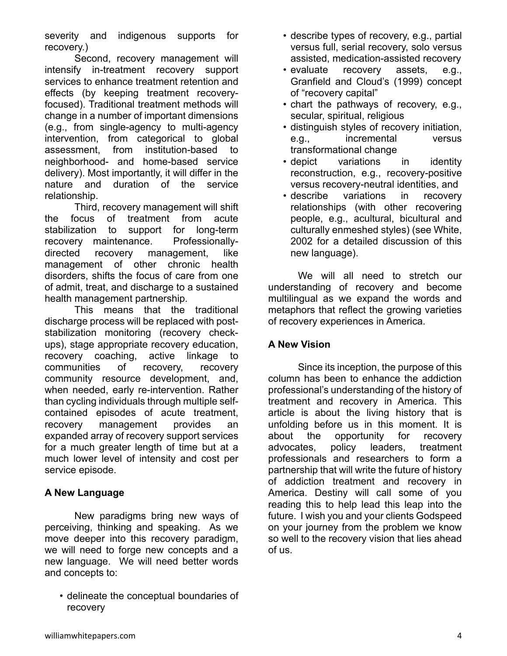severity and indigenous supports for recovery.)

Second, recovery management will intensify in-treatment recovery support services to enhance treatment retention and effects (by keeping treatment recoveryfocused). Traditional treatment methods will change in a number of important dimensions (e.g., from single-agency to multi-agency intervention, from categorical to global assessment, from institution-based to neighborhood- and home-based service delivery). Most importantly, it will differ in the nature and duration of the service relationship.

Third, recovery management will shift the focus of treatment from acute stabilization to support for long-term recovery maintenance. Professionallydirected recovery management, like management of other chronic health disorders, shifts the focus of care from one of admit, treat, and discharge to a sustained health management partnership.

This means that the traditional discharge process will be replaced with poststabilization monitoring (recovery checkups), stage appropriate recovery education, recovery coaching, active linkage to communities of recovery, recovery community resource development, and, when needed, early re-intervention. Rather than cycling individuals through multiple selfcontained episodes of acute treatment, recovery management provides an expanded array of recovery support services for a much greater length of time but at a much lower level of intensity and cost per service episode.

## **A New Language**

 New paradigms bring new ways of perceiving, thinking and speaking. As we move deeper into this recovery paradigm, we will need to forge new concepts and a new language. We will need better words and concepts to:

• delineate the conceptual boundaries of recovery

- describe types of recovery, e.g., partial versus full, serial recovery, solo versus assisted, medication-assisted recovery
- evaluate recovery assets, e.g., Granfield and Cloud's (1999) concept of "recovery capital"
- chart the pathways of recovery, e.g., secular, spiritual, religious
- distinguish styles of recovery initiation, e.g., incremental versus transformational change
- depict variations in identity reconstruction, e.g., recovery-positive versus recovery-neutral identities, and
- describe variations in recovery relationships (with other recovering people, e.g., acultural, bicultural and culturally enmeshed styles) (see White, 2002 for a detailed discussion of this new language).

We will all need to stretch our understanding of recovery and become multilingual as we expand the words and metaphors that reflect the growing varieties of recovery experiences in America.

## **A New Vision**

Since its inception, the purpose of this column has been to enhance the addiction professional's understanding of the history of treatment and recovery in America. This article is about the living history that is unfolding before us in this moment. It is about the opportunity for recovery advocates, policy leaders, treatment professionals and researchers to form a partnership that will write the future of history of addiction treatment and recovery in America. Destiny will call some of you reading this to help lead this leap into the future. I wish you and your clients Godspeed on your journey from the problem we know so well to the recovery vision that lies ahead of us.